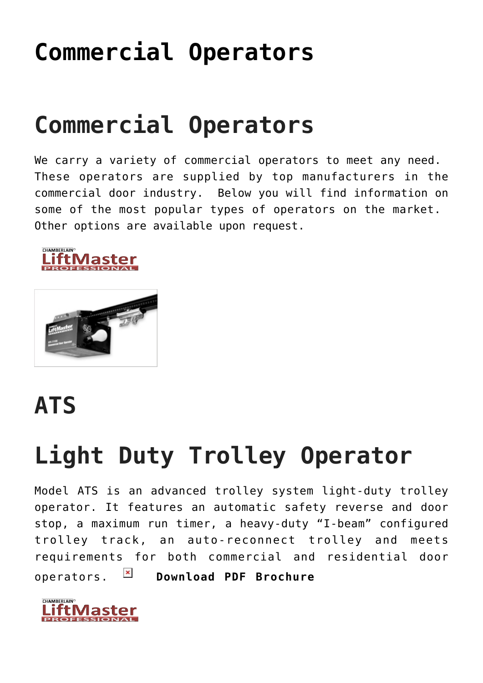## **[Commercial Operators](https://msdoorways.com/commercial-operators/)**

## **Commercial Operators**

We carry a variety of commercial operators to meet any need. These operators are supplied by top manufacturers in the commercial door industry. Below you will find information on some of the most popular types of operators on the market. Other options are available upon request.





#### **ATS**

## **Light Duty Trolley Operator**

Model ATS is an advanced trolley system light-duty trolley operator. It features an automatic safety reverse and door stop, a maximum run timer, a heavy-duty "I-beam" configured trolley track, an auto-reconnect trolley and meets requirements for both commercial and residential door operators. **E [Download PDF Brochure](http://msdoorways.com/wp-content/uploads/2015/04/LM-ATS.pdf)** 

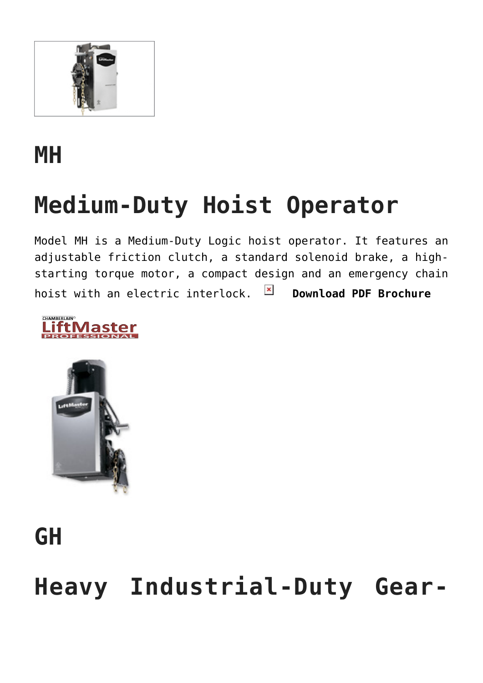

#### **MH**

# **Medium-Duty Hoist Operator**

Model MH is a Medium-Duty Logic hoist operator. It features an adjustable friction clutch, a standard solenoid brake, a highstarting torque motor, a compact design and an emergency chain hoist with an electric interlock. **E [Download PDF Brochure](http://msdoorways.com/wp-content/uploads/2015/04/Liftmaster-MH.pdf)** 





## **GH**

## **Heavy Industrial-Duty Gear-**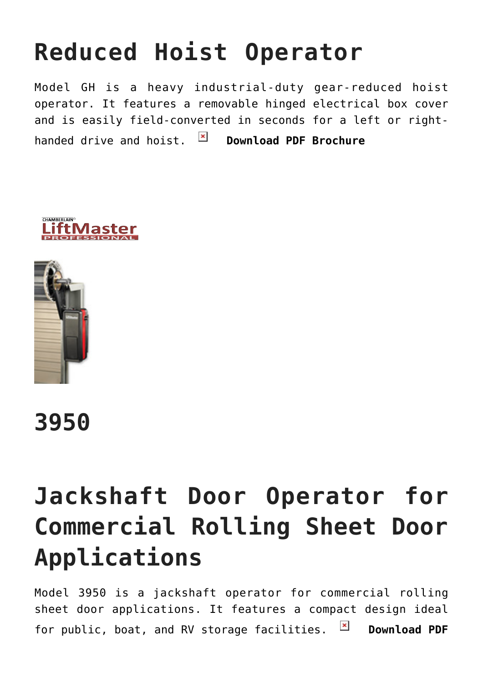# **Reduced Hoist Operator**

Model GH is a heavy industrial-duty gear-reduced hoist operator. It features a removable hinged electrical box cover and is easily field-converted in seconds for a left or righthanded drive and hoist. **E [Download PDF Brochure](http://msdoorways.com/wp-content/uploads/2015/04/Liftmaster-GH.pdf)** 





**3950**

## **Jackshaft Door Operator for Commercial Rolling Sheet Door Applications**

Model 3950 is a jackshaft operator for commercial rolling sheet door applications. It features a compact design ideal for public, boat, and RV storage facilities. **B** [Download PDF](http://msdoorways.com/wp-content/uploads/2015/04/3950-Sell-Sheet.pdf)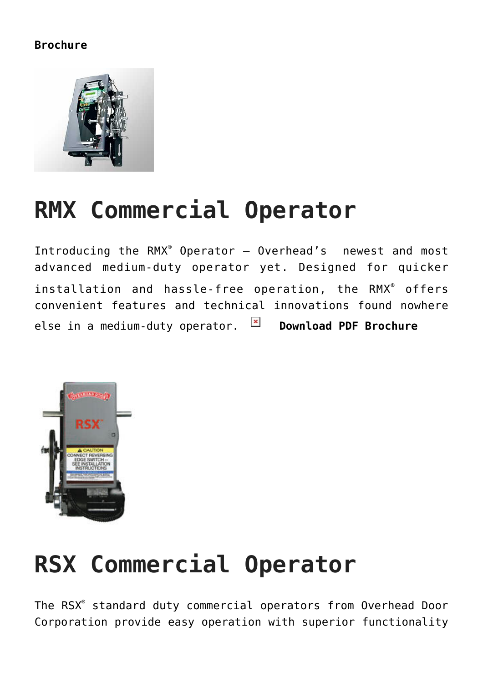#### **[Brochure](http://msdoorways.com/wp-content/uploads/2015/04/3950-Sell-Sheet.pdf)**



#### **RMX Commercial Operator**

Introducing the RMX® Operator — Overhead's newest and most advanced medium-duty operator yet. Designed for quicker installation and hassle-free operation, the RMX**®** offers convenient features and technical innovations found nowhere else in a medium-duty operator. **EX [Download PDF Brochure](http://msdoorways.com/wp-content/uploads/2015/04/OHD-RMX.pdf)** 



#### **RSX Commercial Operator**

The RSX® standard duty commercial operators from Overhead Door Corporation provide easy operation with superior functionality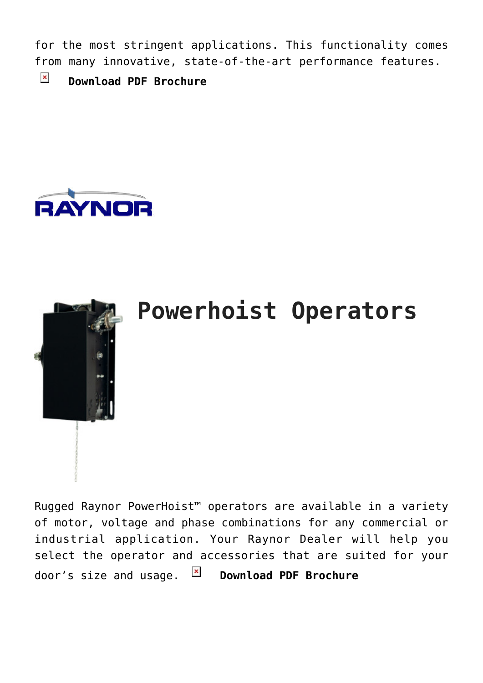for the most stringent applications. This functionality comes from many innovative, state-of-the-art performance features.

 $\pmb{\times}$ **[Download PDF Brochure](http://msdoorways.com/wp-content/uploads/2015/04/OHD-RSX.pdf)**





#### **Powerhoist Operators**

Rugged Raynor PowerHoist™ operators are available in a variety of motor, voltage and phase combinations for any commercial or industrial application. Your Raynor Dealer will help you select the operator and accessories that are suited for your door's size and usage. **E [Download PDF Brochure](http://msdoorways.com/wp-content/uploads/2015/04/PowerHoist.pdf)**